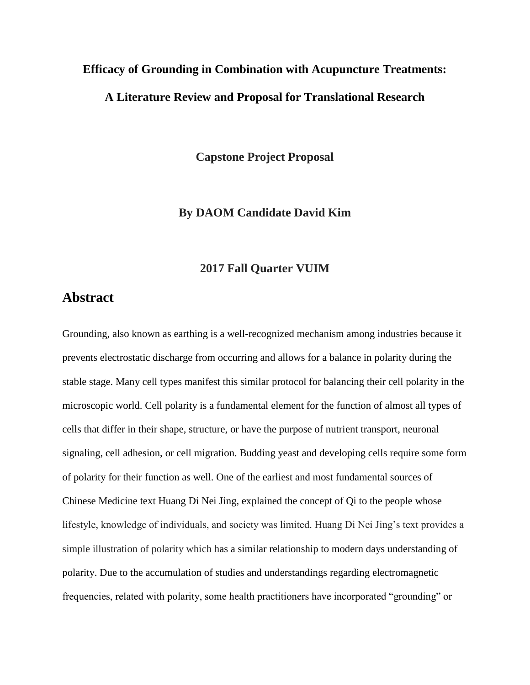## **Efficacy of Grounding in Combination with Acupuncture Treatments: A Literature Review and Proposal for Translational Research**

**Capstone Project Proposal**

**By DAOM Candidate David Kim**

#### **2017 Fall Quarter VUIM**

## **Abstract**

Grounding, also known as earthing is a well-recognized mechanism among industries because it prevents electrostatic discharge from occurring and allows for a balance in polarity during the stable stage. Many cell types manifest this similar protocol for balancing their cell polarity in the microscopic world. Cell polarity is a fundamental element for the function of almost all types of cells that differ in their shape, structure, or have the purpose of nutrient transport, neuronal signaling, cell adhesion, or cell migration. Budding yeast and developing cells require some form of polarity for their function as well. One of the earliest and most fundamental sources of Chinese Medicine text Huang Di Nei Jing*,* explained the concept of Qi to the people whose lifestyle, knowledge of individuals, and society was limited. Huang Di Nei Jing's text provides a simple illustration of polarity which has a similar relationship to modern days understanding of polarity. Due to the accumulation of studies and understandings regarding electromagnetic frequencies, related with polarity, some health practitioners have incorporated "grounding" or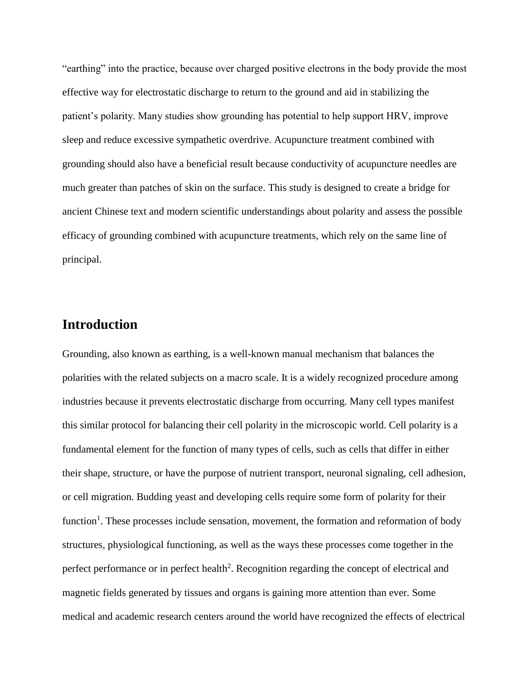"earthing" into the practice, because over charged positive electrons in the body provide the most effective way for electrostatic discharge to return to the ground and aid in stabilizing the patient's polarity. Many studies show grounding has potential to help support HRV, improve sleep and reduce excessive sympathetic overdrive. Acupuncture treatment combined with grounding should also have a beneficial result because conductivity of acupuncture needles are much greater than patches of skin on the surface. This study is designed to create a bridge for ancient Chinese text and modern scientific understandings about polarity and assess the possible efficacy of grounding combined with acupuncture treatments, which rely on the same line of principal.

### **Introduction**

Grounding, also known as earthing, is a well-known manual mechanism that balances the polarities with the related subjects on a macro scale. It is a widely recognized procedure among industries because it prevents electrostatic discharge from occurring. Many cell types manifest this similar protocol for balancing their cell polarity in the microscopic world. Cell polarity is a fundamental element for the function of many types of cells, such as cells that differ in either their shape, structure, or have the purpose of nutrient transport, neuronal signaling, cell adhesion, or cell migration. Budding yeast and developing cells require some form of polarity for their function<sup>1</sup>. These processes include sensation, movement, the formation and reformation of body structures, physiological functioning, as well as the ways these processes come together in the perfect performance or in perfect health<sup>2</sup>. Recognition regarding the concept of electrical and magnetic fields generated by tissues and organs is gaining more attention than ever. Some medical and academic research centers around the world have recognized the effects of electrical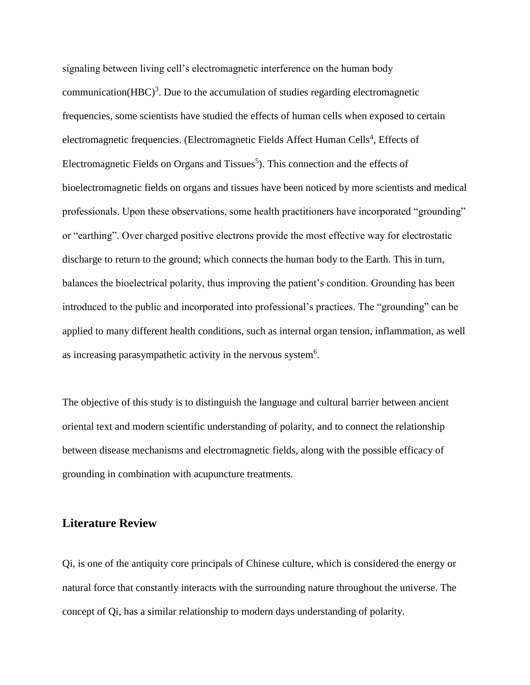signaling between living cell's electromagnetic interference on the human body communication(HBC)<sup>3</sup>. Due to the accumulation of studies regarding electromagnetic frequencies, some scientists have studied the effects of human cells when exposed to certain electromagnetic frequencies. (Electromagnetic Fields Affect Human Cells<sup>4</sup>, Effects of Electromagnetic Fields on Organs and Tissues<sup>5</sup>). This connection and the effects of bioelectromagnetic fields on organs and tissues have been noticed by more scientists and medical professionals. Upon these observations, some health practitioners have incorporated "grounding" or "earthing". Over charged positive electrons provide the most effective way for electrostatic discharge to return to the ground; which connects the human body to the Earth. This in turn, balances the bioelectrical polarity, thus improving the patient's condition. Grounding has been introduced to the public and incorporated into professional's practices. The "grounding" can be applied to many different health conditions, such as internal organ tension, inflammation, as well as increasing parasympathetic activity in the nervous system $6$ .

The objective of this study is to distinguish the language and cultural barrier between ancient oriental text and modern scientific understanding of polarity, and to connect the relationship between disease mechanisms and electromagnetic fields, along with the possible efficacy of grounding in combination with acupuncture treatments.

#### **Literature Review**

Qi, is one of the antiquity core principals of Chinese culture, which is considered the energy or natural force that constantly interacts with the surrounding nature throughout the universe. The concept of Qi, has a similar relationship to modern days understanding of polarity.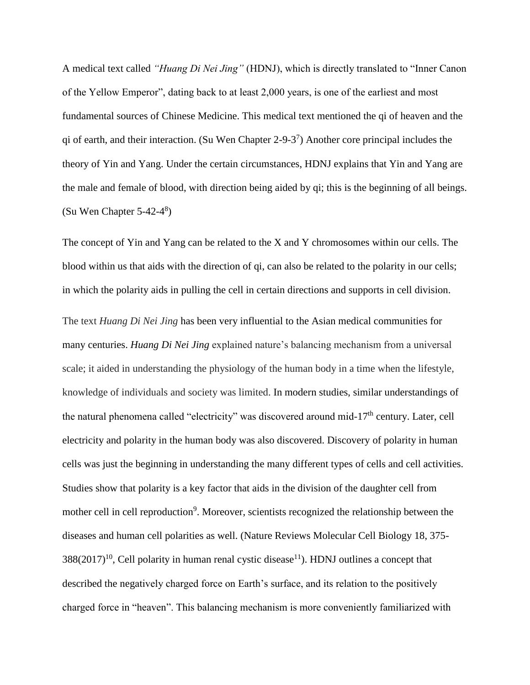A medical text called *"Huang Di Nei Jing"* (HDNJ), which is directly translated to "Inner Canon of the Yellow Emperor", dating back to at least 2,000 years, is one of the earliest and most fundamental sources of Chinese Medicine. This medical text mentioned the qi of heaven and the qi of earth, and their interaction. (Su Wen Chapter 2-9-3<sup>7</sup>) Another core principal includes the theory of Yin and Yang. Under the certain circumstances, HDNJ explains that Yin and Yang are the male and female of blood, with direction being aided by qi; this is the beginning of all beings. (Su Wen Chapter 5-42-4 8 )

The concept of Yin and Yang can be related to the X and Y chromosomes within our cells. The blood within us that aids with the direction of qi, can also be related to the polarity in our cells; in which the polarity aids in pulling the cell in certain directions and supports in cell division.

The text *Huang Di Nei Jing* has been very influential to the Asian medical communities for many centuries. *Huang Di Nei Jing* explained nature's balancing mechanism from a universal scale; it aided in understanding the physiology of the human body in a time when the lifestyle, knowledge of individuals and society was limited. In modern studies, similar understandings of the natural phenomena called "electricity" was discovered around mid-17<sup>th</sup> century. Later, cell electricity and polarity in the human body was also discovered. Discovery of polarity in human cells was just the beginning in understanding the many different types of cells and cell activities. Studies show that polarity is a key factor that aids in the division of the daughter cell from mother cell in cell reproduction<sup>9</sup>. Moreover, scientists recognized the relationship between the diseases and human cell polarities as well. (Nature Reviews Molecular Cell Biology 18, 375-  $388(2017)^{10}$ , Cell polarity in human renal cystic disease<sup>11</sup>). HDNJ outlines a concept that described the negatively charged force on Earth's surface, and its relation to the positively charged force in "heaven". This balancing mechanism is more conveniently familiarized with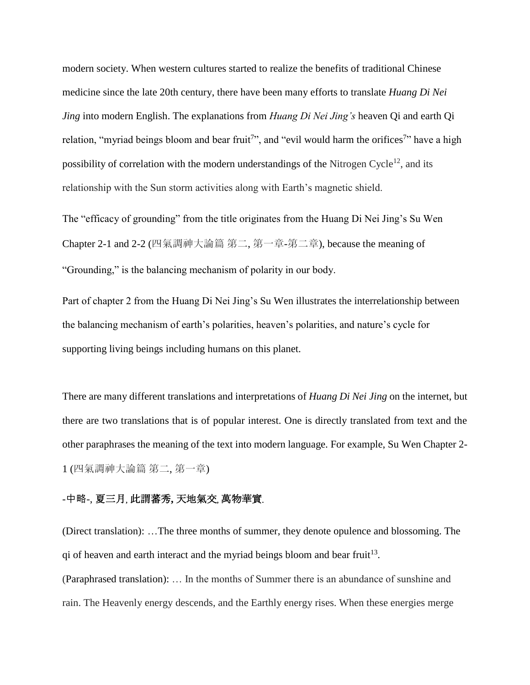modern society. When western cultures started to realize the benefits of traditional Chinese medicine since the late 20th century, there have been many efforts to translate *Huang Di Nei Jing* into modern English. The explanations from *Huang Di Nei Jing's* heaven Qi and earth Qi relation, "myriad beings bloom and bear fruit<sup>7</sup>", and "evil would harm the orifices<sup>7</sup>" have a high possibility of correlation with the modern understandings of the Nitrogen Cycle<sup>12</sup>, and its relationship with the Sun storm activities along with Earth's magnetic shield.

The "efficacy of grounding" from the title originates from the Huang Di Nei Jing's Su Wen Chapter 2-1 and 2-2 (四氣調神大論篇 第二, 第一章-第二章), because the meaning of "Grounding," is the balancing mechanism of polarity in our body.

Part of chapter 2 from the Huang Di Nei Jing's Su Wen illustrates the interrelationship between the balancing mechanism of earth's polarities, heaven's polarities, and nature's cycle for supporting living beings including humans on this planet.

There are many different translations and interpretations of *Huang Di Nei Jing* on the internet, but there are two translations that is of popular interest. One is directly translated from text and the other paraphrases the meaning of the text into modern language. For example, Su Wen Chapter 2- 1 (四氣調神大論篇 第二, 第一章)

#### -中略-, 夏三月**,** 此謂蕃秀**,** 天地氣交**,** 萬物華實**.**

(Direct translation): …The three months of summer, they denote opulence and blossoming. The qi of heaven and earth interact and the myriad beings bloom and bear fruit<sup>13</sup>.

(Paraphrased translation): … In the months of Summer there is an abundance of sunshine and rain. The Heavenly energy descends, and the Earthly energy rises. When these energies merge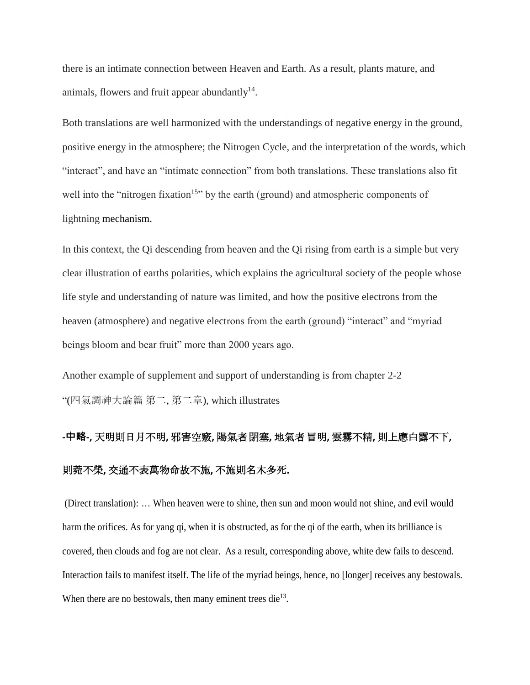there is an intimate connection between Heaven and Earth. As a result, plants mature, and animals, flowers and fruit appear abundantly $14$ .

Both translations are well harmonized with the understandings of negative energy in the ground, positive energy in the atmosphere; the Nitrogen Cycle, and the interpretation of the words, which "interact", and have an "intimate connection" from both translations. These translations also fit well into the "nitrogen fixation<sup>15</sup>" by the earth (ground) and atmospheric components of lightning mechanism.

In this context, the Qi descending from heaven and the Qi rising from earth is a simple but very clear illustration of earths polarities, which explains the agricultural society of the people whose life style and understanding of nature was limited, and how the positive electrons from the heaven (atmosphere) and negative electrons from the earth (ground) "interact" and "myriad beings bloom and bear fruit" more than 2000 years ago.

Another example of supplement and support of understanding is from chapter 2-2 "(四氣調神大論篇 第二, 第二章), which illustrates

# **-中略-,** 天明則日月不明**,** 邪害空竅**,** 陽氣者閉塞**,** 地氣者冒明**,** 雲霧不精**,** 則上應白露不下**,**  則菀不榮**,** 交通不表萬物命故不施**,** 不施則名木多死**.**

(Direct translation): … When heaven were to shine, then sun and moon would not shine, and evil would harm the orifices. As for yang qi, when it is obstructed, as for the qi of the earth, when its brilliance is covered, then clouds and fog are not clear. As a result, corresponding above, white dew fails to descend. Interaction fails to manifest itself. The life of the myriad beings, hence, no [longer] receives any bestowals. When there are no bestowals, then many eminent trees die $^{13}$ .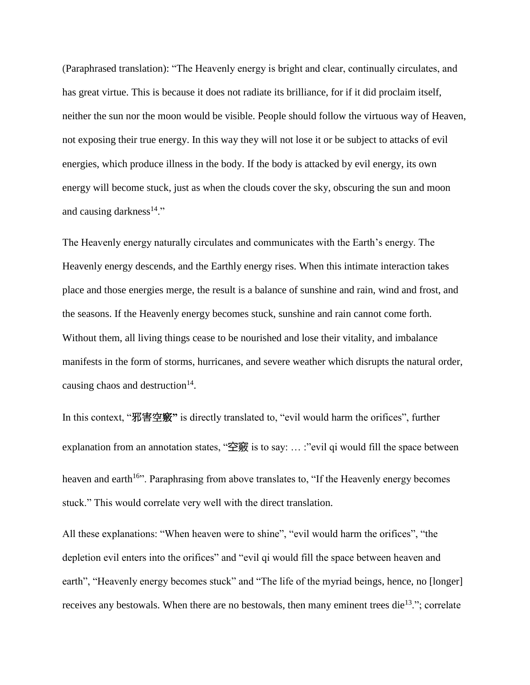(Paraphrased translation): "The Heavenly energy is bright and clear, continually circulates, and has great virtue. This is because it does not radiate its brilliance, for if it did proclaim itself, neither the sun nor the moon would be visible. People should follow the virtuous way of Heaven, not exposing their true energy. In this way they will not lose it or be subject to attacks of evil energies, which produce illness in the body. If the body is attacked by evil energy, its own energy will become stuck, just as when the clouds cover the sky, obscuring the sun and moon and causing darkness $14$ ."

The Heavenly energy naturally circulates and communicates with the Earth's energy. The Heavenly energy descends, and the Earthly energy rises. When this intimate interaction takes place and those energies merge, the result is a balance of sunshine and rain, wind and frost, and the seasons. If the Heavenly energy becomes stuck, sunshine and rain cannot come forth. Without them, all living things cease to be nourished and lose their vitality, and imbalance manifests in the form of storms, hurricanes, and severe weather which disrupts the natural order, causing chaos and destruction $14$ .

In this context, "邪害空竅**"** is directly translated to, "evil would harm the orifices", further explanation from an annotation states, "空竅 is to say: ... :"evil qi would fill the space between heaven and earth<sup>16</sup>". Paraphrasing from above translates to, "If the Heavenly energy becomes stuck." This would correlate very well with the direct translation.

All these explanations: "When heaven were to shine", "evil would harm the orifices", "the depletion evil enters into the orifices" and "evil qi would fill the space between heaven and earth", "Heavenly energy becomes stuck" and "The life of the myriad beings, hence, no [longer] receives any bestowals. When there are no bestowals, then many eminent trees die<sup>13</sup>."; correlate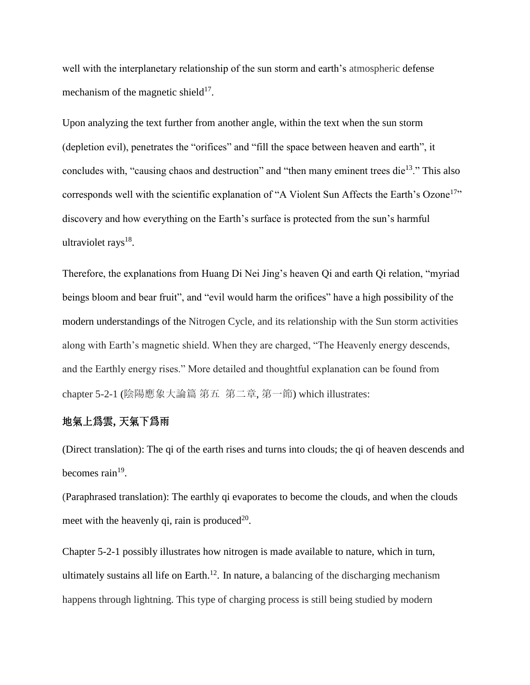well with the interplanetary relationship of the sun storm and earth's atmospheric defense mechanism of the magnetic shield $17$ .

Upon analyzing the text further from another angle, within the text when the sun storm (depletion evil), penetrates the "orifices" and "fill the space between heaven and earth", it concludes with, "causing chaos and destruction" and "then many eminent trees die<sup>13</sup>." This also corresponds well with the scientific explanation of "A Violent Sun Affects the Earth's Ozone<sup>17</sup>" discovery and how everything on the Earth's surface is protected from the sun's harmful ultraviolet rays<sup>18</sup>.

Therefore, the explanations from Huang Di Nei Jing's heaven Qi and earth Qi relation, "myriad beings bloom and bear fruit", and "evil would harm the orifices" have a high possibility of the modern understandings of the Nitrogen Cycle, and its relationship with the Sun storm activities along with Earth's magnetic shield. When they are charged, "The Heavenly energy descends, and the Earthly energy rises." More detailed and thoughtful explanation can be found from chapter 5-2-1 (陰陽應象大論篇 第五 第二章, 第一節) which illustrates:

#### 地氣上爲雲**,** 天氣下爲雨

(Direct translation): The qi of the earth rises and turns into clouds; the qi of heaven descends and becomes rain<sup>19</sup>.

(Paraphrased translation): The earthly qi evaporates to become the clouds, and when the clouds meet with the heavenly qi, rain is produced<sup>20</sup>.

Chapter 5-2-1 possibly illustrates how nitrogen is made available to nature, which in turn, ultimately sustains all life on Earth.<sup>12</sup>. In nature, a balancing of the discharging mechanism happens through lightning. This type of charging process is still being studied by modern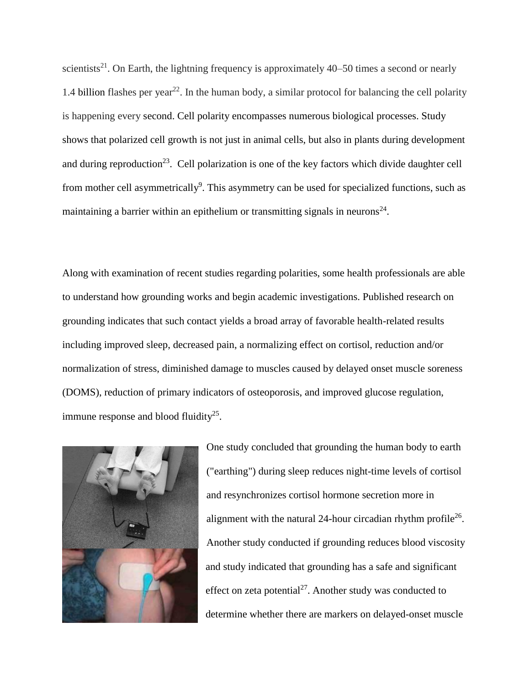scientists<sup>21</sup>. On Earth, the lightning frequency is approximately  $40-50$  times a second or nearly 1.4 [billion](https://en.wikipedia.org/wiki/1,000,000,000_(number)) flashes per year<sup>22</sup>. In the human body, a similar protocol for balancing the cell polarity is happening every second. Cell polarity encompasses numerous biological processes. Study shows that polarized cell growth is not just in animal cells, but also in plants during development and during reproduction<sup>23</sup>. Cell polarization is one of the key factors which divide daughter cell from mother cell asymmetrically<sup>9</sup>. This asymmetry can be used for specialized functions, such as maintaining a barrier within an epithelium or transmitting signals in neurons<sup>24</sup>.

Along with examination of recent studies regarding polarities, some health professionals are able to understand how grounding works and begin academic investigations. Published research on grounding indicates that such contact yields a broad array of favorable health-related results including improved sleep, decreased pain, a normalizing effect on cortisol, reduction and/or normalization of stress, diminished damage to muscles caused by delayed onset muscle soreness (DOMS), reduction of primary indicators of osteoporosis, and improved glucose regulation, immune response and blood fluidity $^{25}$ .



One study concluded that grounding the human body to earth ("earthing") during sleep reduces night-time levels of cortisol and resynchronizes cortisol hormone secretion more in alignment with the natural 24-hour circadian rhythm profile<sup>26</sup>. Another study conducted if grounding reduces blood viscosity and study indicated that grounding has a safe and significant effect on zeta potential<sup>27</sup>. Another study was conducted to determine whether there are markers on delayed-onset muscle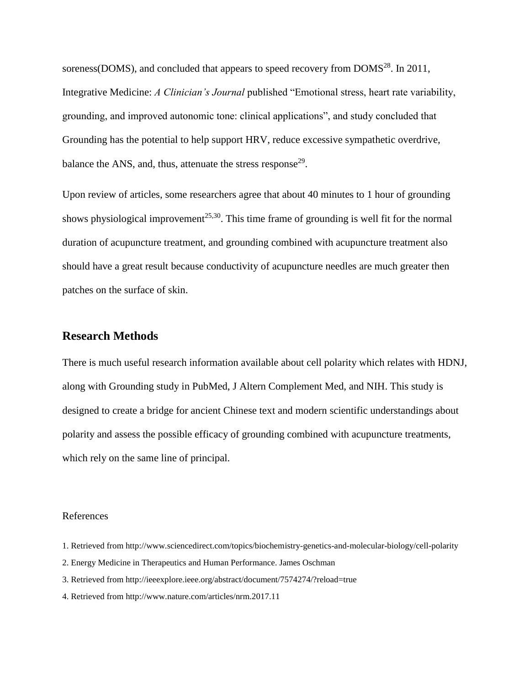soreness(DOMS), and concluded that appears to speed recovery from DOMS<sup>28</sup>. In 2011, Integrative Medicine: *A Clinician's Journal* published "Emotional stress, heart rate variability, grounding, and improved autonomic tone: clinical applications", and study concluded that Grounding has the potential to help support HRV, reduce excessive sympathetic overdrive, balance the ANS, and, thus, attenuate the stress response<sup>29</sup>.

Upon review of articles, some researchers agree that about 40 minutes to 1 hour of grounding shows physiological improvement<sup>25,30</sup>. This time frame of grounding is well fit for the normal duration of acupuncture treatment, and grounding combined with acupuncture treatment also should have a great result because conductivity of acupuncture needles are much greater then patches on the surface of skin.

#### **Research Methods**

There is much useful research information available about cell polarity which relates with HDNJ, along with Grounding study in PubMed, J Altern Complement Med, and NIH. This study is designed to create a bridge for ancient Chinese text and modern scientific understandings about polarity and assess the possible efficacy of grounding combined with acupuncture treatments, which rely on the same line of principal.

#### References

- 1. Retrieved from http://www.sciencedirect.com/topics/biochemistry-genetics-and-molecular-biology/cell-polarity
- 2. Energy Medicine in Therapeutics and Human Performance. James Oschman
- 3. Retrieved from http://ieeexplore.ieee.org/abstract/document/7574274/?reload=true
- 4. Retrieved from<http://www.nature.com/articles/nrm.2017.11>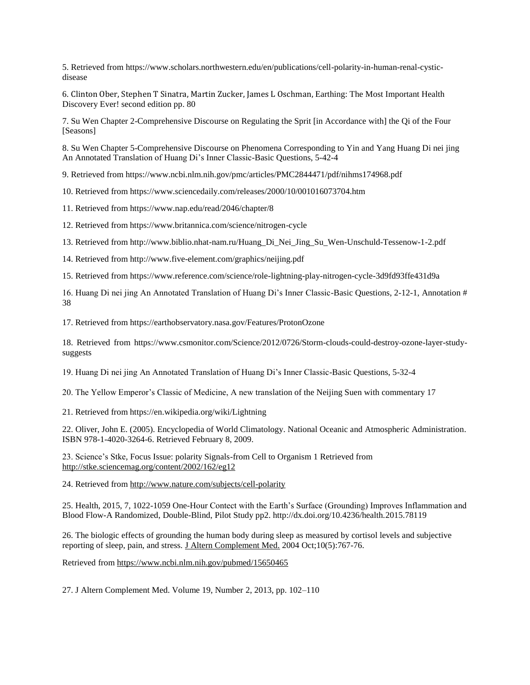5. Retrieved from [https://www.scholars.northwestern.edu/en/publications/cell-polarity-in-human-renal-cystic](https://www.scholars.northwestern.edu/en/publications/cell-polarity-in-human-renal-cystic-disease)[disease](https://www.scholars.northwestern.edu/en/publications/cell-polarity-in-human-renal-cystic-disease)

6. [Clinton Ober,](https://www.amazon.com/Clinton-Ober/e/B0030G6JXI/ref=dp_byline_cont_book_1) [Stephen T Sinatra,](https://www.amazon.com/s/ref=dp_byline_sr_book_2?ie=UTF8&text=Dr+Stephen+T+Sinatra+M.D.&search-alias=books&field-author=Dr+Stephen+T+Sinatra+M.D.&sort=relevancerank) [Martin Zucker,](https://www.amazon.com/Martin-Zucker/e/B0028ET6Y2/ref=dp_byline_cont_book_3) [James L Oschman,](https://www.amazon.com/s/ref=dp_byline_sr_book_4?ie=UTF8&text=James+L+Oschman+Ph.D.&search-alias=books&field-author=James+L+Oschman+Ph.D.&sort=relevancerank) Earthing: The Most Important Health Discovery Ever! second edition pp. 80

7. Su Wen Chapter 2-Comprehensive Discourse on Regulating the Sprit [in Accordance with] the Qi of the Four [Seasons]

8. Su Wen Chapter 5-Comprehensive Discourse on Phenomena Corresponding to Yin and Yang Huang Di nei jing An Annotated Translation of Huang Di's Inner Classic-Basic Questions, 5-42-4

9. Retrieved from https://www.ncbi.nlm.nih.gov/pmc/articles/PMC2844471/pdf/nihms174968.pdf

10. Retrieved from<https://www.sciencedaily.com/releases/2000/10/001016073704.htm>

11. Retrieved from<https://www.nap.edu/read/2046/chapter/8>

12. Retrieved from https://www.britannica.com/science/nitrogen-cycle

13. Retrieved from [http://www.biblio.nhat-nam.ru/Huang\\_Di\\_Nei\\_Jing\\_Su\\_Wen-Unschuld-Tessenow-1-2.pdf](http://www.biblio.nhat-nam.ru/Huang_Di_Nei_Jing_Su_Wen-Unschuld-Tessenow-1-2.pdf)

14. Retrieved from<http://www.five-element.com/graphics/neijing.pdf>

15. Retrieved from https://www.reference.com/science/role-lightning-play-nitrogen-cycle-3d9fd93ffe431d9a

16. Huang Di nei jing An Annotated Translation of Huang Di's Inner Classic-Basic Questions, 2-12-1, Annotation # 38

17. Retrieved from<https://earthobservatory.nasa.gov/Features/ProtonOzone>

18. Retrieved from https://www.csmonitor.com/Science/2012/0726/Storm-clouds-could-destroy-ozone-layer-studysuggests

19. Huang Di nei jing An Annotated Translation of Huang Di's Inner Classic-Basic Questions, 5-32-4

20. The Yellow Emperor's Classic of Medicine, A new translation of the Neijing Suen with commentary 17

21. Retrieved from https://en.wikipedia.org/wiki/Lightning

22. Oliver, John E. (2005)[. Encyclopedia of World Climatology.](https://books.google.com/?id=-mwbAsxpRr0C&pg=PA452) [National Oceanic and Atmospheric Administration.](https://en.wikipedia.org/wiki/National_Oceanic_and_Atmospheric_Administration)  [ISBN](https://en.wikipedia.org/wiki/International_Standard_Book_Number) [978-1-4020-3264-6.](https://en.wikipedia.org/wiki/Special:BookSources/978-1-4020-3264-6) Retrieved February 8, 2009.

23. Science's Stke, Focus Issue: polarity Signals-from Cell to Organism 1 Retrieved from <http://stke.sciencemag.org/content/2002/162/eg12>

24. Retrieved from<http://www.nature.com/subjects/cell-polarity>

25. Health, 2015, 7, 1022-1059 One-Hour Contect with the Earth's Surface (Grounding) Improves Inflammation and Blood Flow-A Randomized, Double-Blind, Pilot Study pp2. http://dx.doi.org/10.4236/health.2015.78119

26. The biologic effects of grounding the human body during sleep as measured by cortisol levels and subjective reporting of sleep, pain, and stress. [J Altern Complement Med.](https://www.ncbi.nlm.nih.gov/pubmed/15650465) 2004 Oct;10(5):767-76.

Retrieved from<https://www.ncbi.nlm.nih.gov/pubmed/15650465>

27. J Altern Complement Med. Volume 19, Number 2, 2013, pp. 102–110